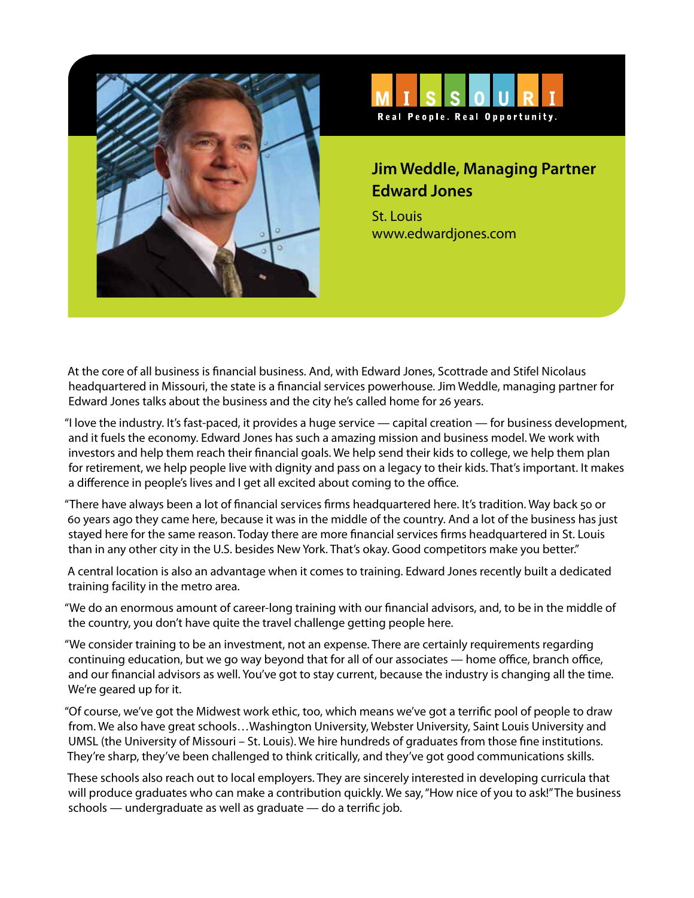



## **Jim Weddle, Managing Partner Edward Jones**

St. Louis www.edwardjones.com

At the core of all business is financial business. And, with Edward Jones, Scottrade and Stifel Nicolaus headquartered in Missouri, the state is a financial services powerhouse. Jim Weddle, managing partner for Edward Jones talks about the business and the city he's called home for 26 years.

"I love the industry. It's fast-paced, it provides a huge service — capital creation — for business development, and it fuels the economy. Edward Jones has such a amazing mission and business model. We work with investors and help them reach their financial goals. We help send their kids to college, we help them plan for retirement, we help people live with dignity and pass on a legacy to their kids. That's important. It makes a difference in people's lives and I get all excited about coming to the office.

"There have always been a lot of financial services firms headquartered here. It's tradition. Way back 50 or 60 years ago they came here, because it was in the middle of the country. And a lot of the business has just stayed here for the same reason. Today there are more financial services firms headquartered in St. Louis than in any other city in the U.S. besides New York. That's okay. Good competitors make you better."

A central location is also an advantage when it comes to training. Edward Jones recently built a dedicated training facility in the metro area.

"We do an enormous amount of career-long training with our financial advisors, and, to be in the middle of the country, you don't have quite the travel challenge getting people here.

"We consider training to be an investment, not an expense. There are certainly requirements regarding continuing education, but we go way beyond that for all of our associates — home office, branch office, and our financial advisors as well. You've got to stay current, because the industry is changing all the time. We're geared up for it.

"Of course, we've got the Midwest work ethic, too, which means we've got a terrific pool of people to draw from. We also have great schools…Washington University, Webster University, Saint Louis University and UMSL (the University of Missouri – St. Louis). We hire hundreds of graduates from those fine institutions. They're sharp, they've been challenged to think critically, and they've got good communications skills.

These schools also reach out to local employers. They are sincerely interested in developing curricula that will produce graduates who can make a contribution quickly. We say, "How nice of you to ask!" The business schools — undergraduate as well as graduate — do a terrific job.